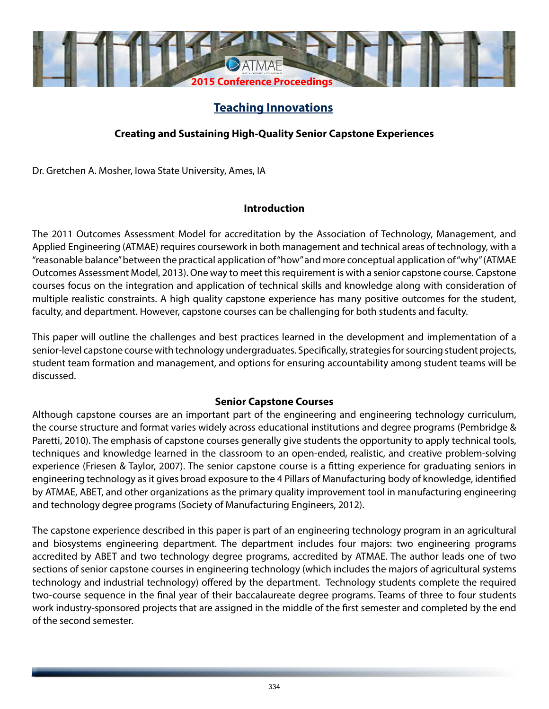

# **Teaching Innovations**

## **Creating and Sustaining High-Quality Senior Capstone Experiences**

Dr. Gretchen A. Mosher, Iowa State University, Ames, IA

## **Introduction**

The 2011 Outcomes Assessment Model for accreditation by the Association of Technology, Management, and Applied Engineering (ATMAE) requires coursework in both management and technical areas of technology, with a "reasonable balance" between the practical application of "how" and more conceptual application of "why" (ATMAE Outcomes Assessment Model, 2013). One way to meet this requirement is with a senior capstone course. Capstone courses focus on the integration and application of technical skills and knowledge along with consideration of multiple realistic constraints. A high quality capstone experience has many positive outcomes for the student, faculty, and department. However, capstone courses can be challenging for both students and faculty.

This paper will outline the challenges and best practices learned in the development and implementation of a senior-level capstone course with technology undergraduates. Specifically, strategies for sourcing student projects, student team formation and management, and options for ensuring accountability among student teams will be discussed.

### **Senior Capstone Courses**

Although capstone courses are an important part of the engineering and engineering technology curriculum, the course structure and format varies widely across educational institutions and degree programs (Pembridge & Paretti, 2010). The emphasis of capstone courses generally give students the opportunity to apply technical tools, techniques and knowledge learned in the classroom to an open-ended, realistic, and creative problem-solving experience (Friesen & Taylor, 2007). The senior capstone course is a fitting experience for graduating seniors in engineering technology as it gives broad exposure to the 4 Pillars of Manufacturing body of knowledge, identified by ATMAE, ABET, and other organizations as the primary quality improvement tool in manufacturing engineering and technology degree programs (Society of Manufacturing Engineers, 2012).

The capstone experience described in this paper is part of an engineering technology program in an agricultural and biosystems engineering department. The department includes four majors: two engineering programs accredited by ABET and two technology degree programs, accredited by ATMAE. The author leads one of two sections of senior capstone courses in engineering technology (which includes the majors of agricultural systems technology and industrial technology) offered by the department. Technology students complete the required two-course sequence in the final year of their baccalaureate degree programs. Teams of three to four students work industry-sponsored projects that are assigned in the middle of the first semester and completed by the end of the second semester.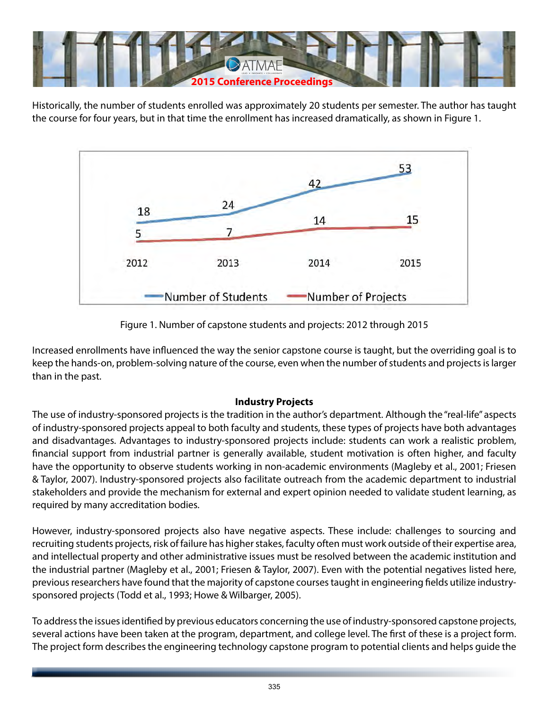

Historically, the number of students enrolled was approximately 20 students per semester. The author has taught the course for four years, but in that time the enrollment has increased dramatically, as shown in Figure 1.



Figure 1. Number of capstone students and projects: 2012 through 2015

Increased enrollments have influenced the way the senior capstone course is taught, but the overriding goal is to keep the hands-on, problem-solving nature of the course, even when the number of students and projects is larger than in the past.

### **Industry Projects**

The use of industry-sponsored projects is the tradition in the author's department. Although the "real-life" aspects of industry-sponsored projects appeal to both faculty and students, these types of projects have both advantages and disadvantages. Advantages to industry-sponsored projects include: students can work a realistic problem, financial support from industrial partner is generally available, student motivation is often higher, and faculty have the opportunity to observe students working in non-academic environments (Magleby et al., 2001; Friesen & Taylor, 2007). Industry-sponsored projects also facilitate outreach from the academic department to industrial stakeholders and provide the mechanism for external and expert opinion needed to validate student learning, as required by many accreditation bodies.

However, industry-sponsored projects also have negative aspects. These include: challenges to sourcing and recruiting students projects, risk of failure has higher stakes, faculty often must work outside of their expertise area, and intellectual property and other administrative issues must be resolved between the academic institution and the industrial partner (Magleby et al., 2001; Friesen & Taylor, 2007). Even with the potential negatives listed here, previous researchers have found that the majority of capstone courses taught in engineering fields utilize industrysponsored projects (Todd et al., 1993; Howe & Wilbarger, 2005).

To address the issues identified by previous educators concerning the use of industry-sponsored capstone projects, several actions have been taken at the program, department, and college level. The first of these is a project form. The project form describes the engineering technology capstone program to potential clients and helps guide the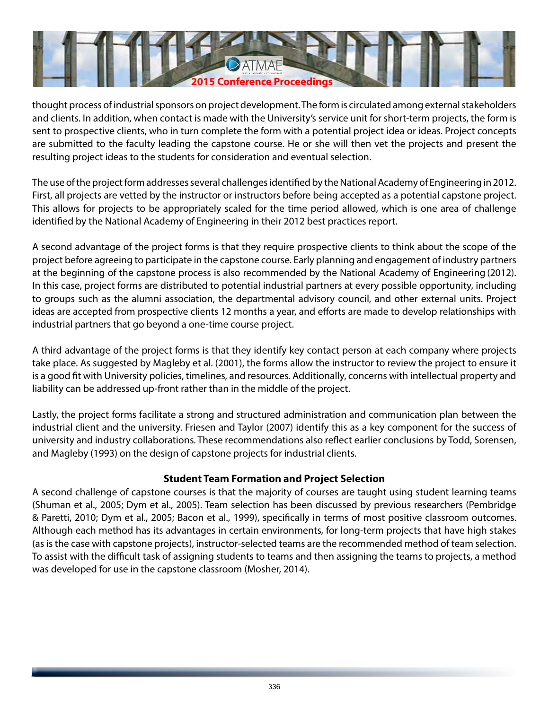

thought process of industrial sponsors on project development. The form is circulated among external stakeholders and clients. In addition, when contact is made with the University's service unit for short-term projects, the form is sent to prospective clients, who in turn complete the form with a potential project idea or ideas. Project concepts are submitted to the faculty leading the capstone course. He or she will then vet the projects and present the resulting project ideas to the students for consideration and eventual selection.

The use of the project form addresses several challenges identified by the National Academy of Engineering in 2012. First, all projects are vetted by the instructor or instructors before being accepted as a potential capstone project. This allows for projects to be appropriately scaled for the time period allowed, which is one area of challenge identified by the National Academy of Engineering in their 2012 best practices report.

A second advantage of the project forms is that they require prospective clients to think about the scope of the project before agreeing to participate in the capstone course. Early planning and engagement of industry partners at the beginning of the capstone process is also recommended by the National Academy of Engineering (2012). In this case, project forms are distributed to potential industrial partners at every possible opportunity, including to groups such as the alumni association, the departmental advisory council, and other external units. Project ideas are accepted from prospective clients 12 months a year, and efforts are made to develop relationships with industrial partners that go beyond a one-time course project.

A third advantage of the project forms is that they identify key contact person at each company where projects take place. As suggested by Magleby et al. (2001), the forms allow the instructor to review the project to ensure it is a good fit with University policies, timelines, and resources. Additionally, concerns with intellectual property and liability can be addressed up-front rather than in the middle of the project.

Lastly, the project forms facilitate a strong and structured administration and communication plan between the industrial client and the university. Friesen and Taylor (2007) identify this as a key component for the success of university and industry collaborations. These recommendations also reflect earlier conclusions by Todd, Sorensen, and Magleby (1993) on the design of capstone projects for industrial clients.

### **Student Team Formation and Project Selection**

A second challenge of capstone courses is that the majority of courses are taught using student learning teams (Shuman et al., 2005; Dym et al., 2005). Team selection has been discussed by previous researchers (Pembridge & Paretti, 2010; Dym et al., 2005; Bacon et al., 1999), specifically in terms of most positive classroom outcomes. Although each method has its advantages in certain environments, for long-term projects that have high stakes (as is the case with capstone projects), instructor-selected teams are the recommended method of team selection. To assist with the difficult task of assigning students to teams and then assigning the teams to projects, a method was developed for use in the capstone classroom (Mosher, 2014).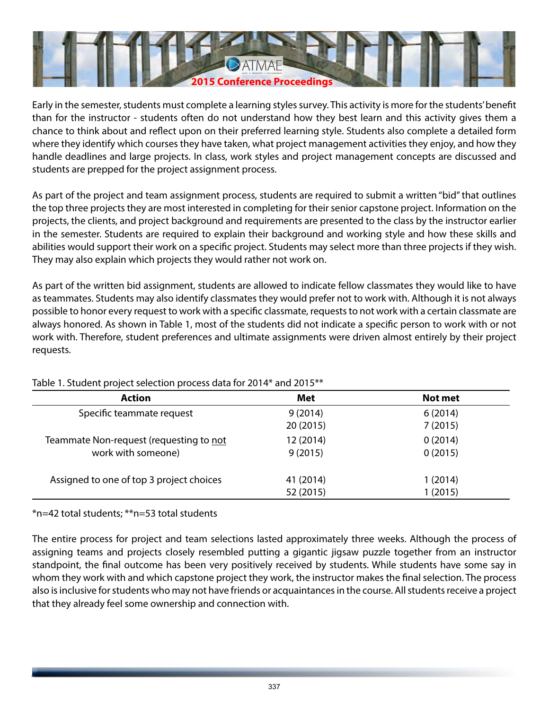

Early in the semester, students must complete a learning styles survey. This activity is more for the students' benefit than for the instructor - students often do not understand how they best learn and this activity gives them a chance to think about and reflect upon on their preferred learning style. Students also complete a detailed form where they identify which courses they have taken, what project management activities they enjoy, and how they handle deadlines and large projects. In class, work styles and project management concepts are discussed and students are prepped for the project assignment process.

As part of the project and team assignment process, students are required to submit a written "bid" that outlines the top three projects they are most interested in completing for their senior capstone project. Information on the projects, the clients, and project background and requirements are presented to the class by the instructor earlier in the semester. Students are required to explain their background and working style and how these skills and abilities would support their work on a specific project. Students may select more than three projects if they wish. They may also explain which projects they would rather not work on.

As part of the written bid assignment, students are allowed to indicate fellow classmates they would like to have as teammates. Students may also identify classmates they would prefer not to work with. Although it is not always possible to honor every request to work with a specific classmate, requests to not work with a certain classmate are always honored. As shown in Table 1, most of the students did not indicate a specific person to work with or not work with. Therefore, student preferences and ultimate assignments were driven almost entirely by their project requests.

| <b>Action</b>                            | Met                  | Not met            |
|------------------------------------------|----------------------|--------------------|
| Specific teammate request                | 9(2014)<br>20 (2015) | 6(2014)<br>7(2015) |
| Teammate Non-request (requesting to not  | 12 (2014)            | 0(2014)            |
| work with someone)                       | 9(2015)              | 0(2015)            |
| Assigned to one of top 3 project choices | 41 (2014)            | 1 (2014)           |
|                                          | 52 (2015)            | 1(2015)            |

### Table 1. Student project selection process data for 2014\* and 2015\*\*

\*n=42 total students; \*\*n=53 total students

The entire process for project and team selections lasted approximately three weeks. Although the process of assigning teams and projects closely resembled putting a gigantic jigsaw puzzle together from an instructor standpoint, the final outcome has been very positively received by students. While students have some say in whom they work with and which capstone project they work, the instructor makes the final selection. The process also is inclusive for students who may not have friends or acquaintances in the course. All students receive a project that they already feel some ownership and connection with.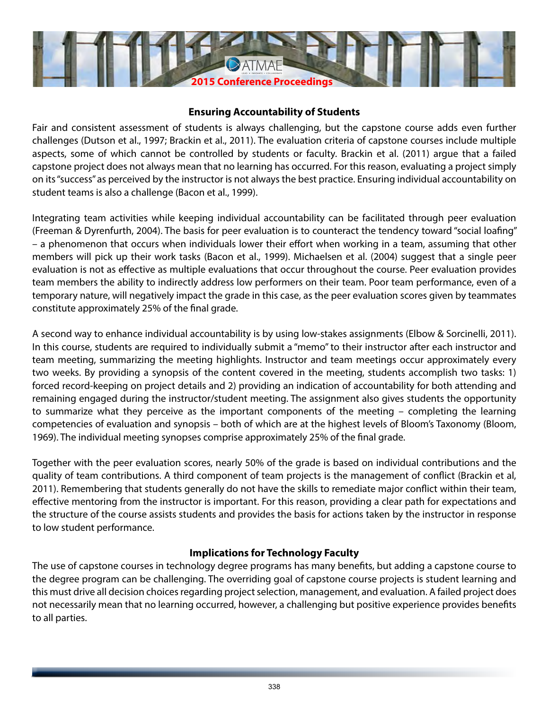

### **Ensuring Accountability of Students**

Fair and consistent assessment of students is always challenging, but the capstone course adds even further challenges (Dutson et al., 1997; Brackin et al., 2011). The evaluation criteria of capstone courses include multiple aspects, some of which cannot be controlled by students or faculty. Brackin et al. (2011) argue that a failed capstone project does not always mean that no learning has occurred. For this reason, evaluating a project simply on its "success" as perceived by the instructor is not always the best practice. Ensuring individual accountability on student teams is also a challenge (Bacon et al., 1999).

Integrating team activities while keeping individual accountability can be facilitated through peer evaluation (Freeman & Dyrenfurth, 2004). The basis for peer evaluation is to counteract the tendency toward "social loafing" – a phenomenon that occurs when individuals lower their effort when working in a team, assuming that other members will pick up their work tasks (Bacon et al., 1999). Michaelsen et al. (2004) suggest that a single peer evaluation is not as effective as multiple evaluations that occur throughout the course. Peer evaluation provides team members the ability to indirectly address low performers on their team. Poor team performance, even of a temporary nature, will negatively impact the grade in this case, as the peer evaluation scores given by teammates constitute approximately 25% of the final grade.

A second way to enhance individual accountability is by using low-stakes assignments (Elbow & Sorcinelli, 2011). In this course, students are required to individually submit a "memo" to their instructor after each instructor and team meeting, summarizing the meeting highlights. Instructor and team meetings occur approximately every two weeks. By providing a synopsis of the content covered in the meeting, students accomplish two tasks: 1) forced record-keeping on project details and 2) providing an indication of accountability for both attending and remaining engaged during the instructor/student meeting. The assignment also gives students the opportunity to summarize what they perceive as the important components of the meeting – completing the learning competencies of evaluation and synopsis – both of which are at the highest levels of Bloom's Taxonomy (Bloom, 1969). The individual meeting synopses comprise approximately 25% of the final grade.

Together with the peer evaluation scores, nearly 50% of the grade is based on individual contributions and the quality of team contributions. A third component of team projects is the management of conflict (Brackin et al, 2011). Remembering that students generally do not have the skills to remediate major conflict within their team, effective mentoring from the instructor is important. For this reason, providing a clear path for expectations and the structure of the course assists students and provides the basis for actions taken by the instructor in response to low student performance.

### **Implications for Technology Faculty**

The use of capstone courses in technology degree programs has many benefits, but adding a capstone course to the degree program can be challenging. The overriding goal of capstone course projects is student learning and this must drive all decision choices regarding project selection, management, and evaluation. A failed project does not necessarily mean that no learning occurred, however, a challenging but positive experience provides benefits to all parties.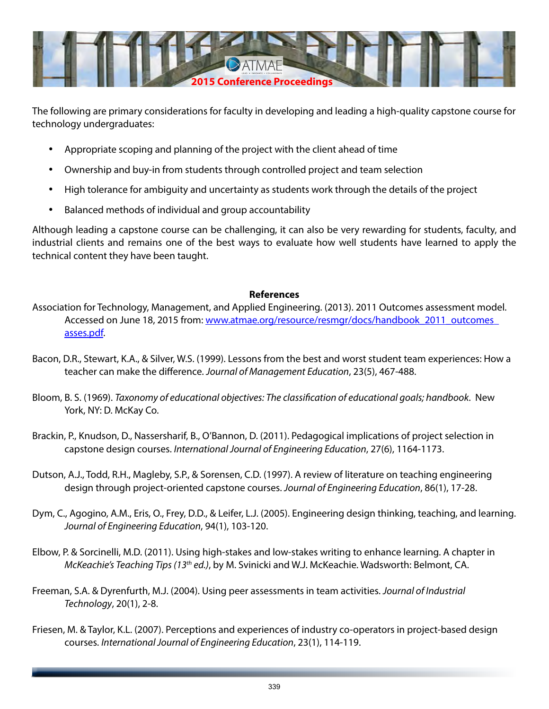

The following are primary considerations for faculty in developing and leading a high-quality capstone course for technology undergraduates:

- • Appropriate scoping and planning of the project with the client ahead of time
- • Ownership and buy-in from students through controlled project and team selection
- High tolerance for ambiguity and uncertainty as students work through the details of the project
- Balanced methods of individual and group accountability

Although leading a capstone course can be challenging, it can also be very rewarding for students, faculty, and industrial clients and remains one of the best ways to evaluate how well students have learned to apply the technical content they have been taught.

#### **References**

- Association for Technology, Management, and Applied Engineering. (2013). 2011 Outcomes assessment model. Accessed on June 18, 2015 from: www.atmae.org/resource/resmgr/docs/handbook\_2011\_outcomes [asses.pdf](http://www.atmae.org/resource/resmgr/docs/handbook_2011_outcomes_asses.pdf).
- Bacon, D.R., Stewart, K.A., & Silver, W.S. (1999). Lessons from the best and worst student team experiences: How a teacher can make the difference. *Journal of Management Education*, 23(5), 467-488.
- Bloom, B. S. (1969). *Taxonomy of educational objectives: The classification of educational goals; handbook*. New York, NY: D. McKay Co.
- Brackin, P., Knudson, D., Nassersharif, B., O'Bannon, D. (2011). Pedagogical implications of project selection in capstone design courses. *International Journal of Engineering Education*, 27(6), 1164-1173.
- Dutson, A.J., Todd, R.H., Magleby, S.P., & Sorensen, C.D. (1997). A review of literature on teaching engineering design through project-oriented capstone courses. *Journal of Engineering Education*, 86(1), 17-28.
- Dym, C., Agogino, A.M., Eris, O., Frey, D.D., & Leifer, L.J. (2005). Engineering design thinking, teaching, and learning. *Journal of Engineering Education*, 94(1), 103-120.
- Elbow, P. & Sorcinelli, M.D. (2011). Using high-stakes and low-stakes writing to enhance learning. A chapter in *McKeachie's Teaching Tips (13th ed.)*, by M. Svinicki and W.J. McKeachie. Wadsworth: Belmont, CA.
- Freeman, S.A. & Dyrenfurth, M.J. (2004). Using peer assessments in team activities. *Journal of Industrial Technology*, 20(1), 2-8.
- Friesen, M. & Taylor, K.L. (2007). Perceptions and experiences of industry co-operators in project-based design courses. *International Journal of Engineering Education*, 23(1), 114-119.